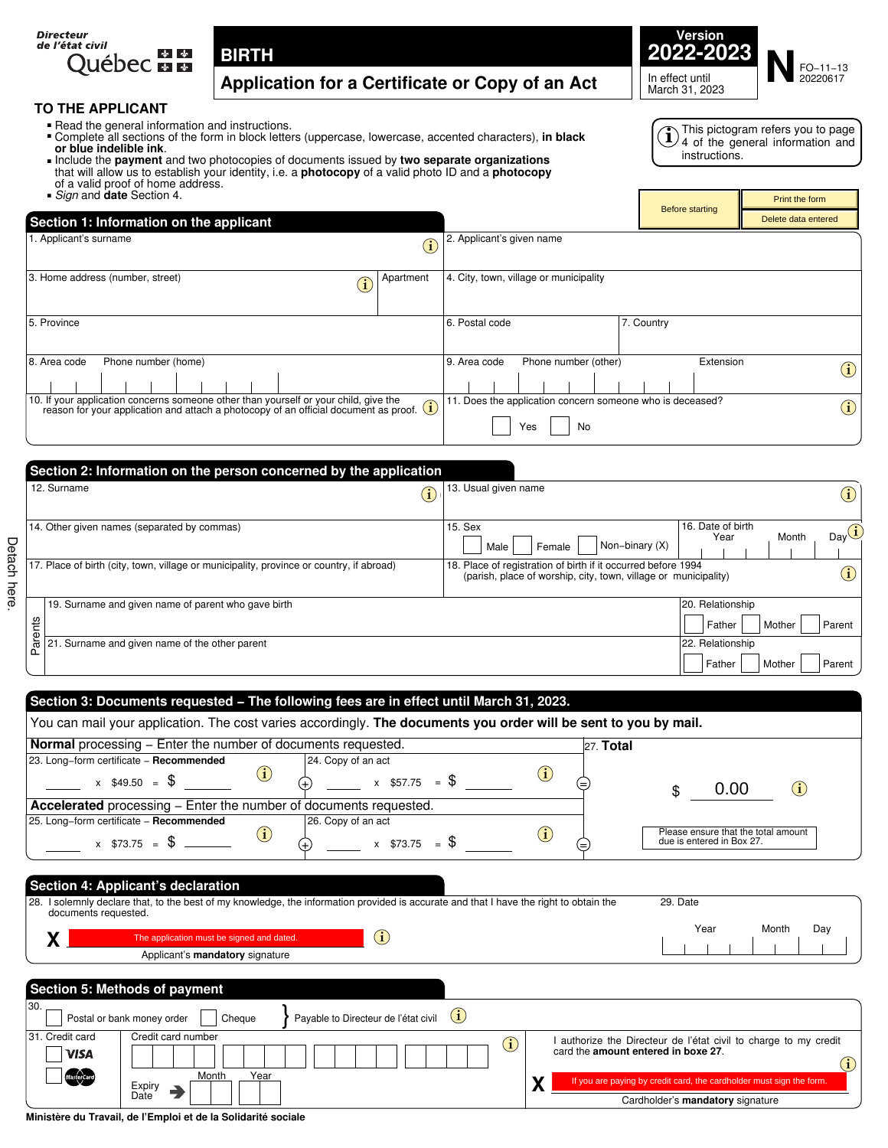



# **TO THE APPLICANT**<br>**•** Read the general infor

- 
- Read the general information and instructions.<br>■ Complete all sections of the form in block letter or blue indelible ink. Complete all sections of the form in block letters (uppercase, lowercase, accented characters), **in black**  • Complete all sections of the form in block letters (uppercase, lowercase, accented characters), in<br>
• Include the **payment** and two photocopies of documents issued by **two separate organizations**

This pictogram refers you to page **i**) I his pictogram reters you to page<br>**1**) 4 of the general information and instructions.

Print the form

Before starting

- that will allow us to establish your identity, i.e. a **photocopy** of a valid photo ID and a **photocopy**  of a valid proof of home address. .*Sign* and **date** Section 4.
- 

Detach here.

Detach here.

| Section 1: Information on the applicant                                                                                                                                                                                                                                    | Delete data entered                                                     |
|----------------------------------------------------------------------------------------------------------------------------------------------------------------------------------------------------------------------------------------------------------------------------|-------------------------------------------------------------------------|
| 1. Applicant's surname<br>$\bf (\hat{i})$                                                                                                                                                                                                                                  | 2. Applicant's given name                                               |
| 3. Home address (number, street)<br>Apartment<br>$\mathbf{\hat{i}}$                                                                                                                                                                                                        | 4. City, town, village or municipality                                  |
| 5. Province                                                                                                                                                                                                                                                                | 6. Postal code<br>7. Country                                            |
| Phone number (home)<br>8. Area code                                                                                                                                                                                                                                        | Phone number (other)<br>9. Area code<br>Extension                       |
| 10. If your application concerns someone other than yourself or your child, give the<br>. ii your application concerns someone other than yourself or your child, give the reason for your application and attach a photocopy of an official document as proof. $\bigcirc$ | 11. Does the application concern someone who is deceased?<br>Yes<br>No. |

| Section 2: Information on the person concerned by the application                        |                    |                                                                                                                                  |                |                           |        |                            |
|------------------------------------------------------------------------------------------|--------------------|----------------------------------------------------------------------------------------------------------------------------------|----------------|---------------------------|--------|----------------------------|
| 12. Surname                                                                              | $\mathbf{\hat{1}}$ | 13. Usual given name                                                                                                             |                |                           |        | $\bf(i)$                   |
| 14. Other given names (separated by commas)                                              |                    | 15. Sex<br>Female<br>Male                                                                                                        | Non-binary (X) | 16. Date of birth<br>Year | Month  | Day $\widehat{\mathbf{I}}$ |
| 17. Place of birth (city, town, village or municipality, province or country, if abroad) |                    | 18. Place of registration of birth if it occurred before 1994<br>(parish, place of worship, city, town, village or municipality) |                |                           |        | $\bf (\hat{i})$            |
| 19. Surname and given name of parent who gave birth                                      |                    |                                                                                                                                  |                | 20. Relationship          |        |                            |
| nts                                                                                      |                    |                                                                                                                                  |                | Father                    | Mother | Parent                     |
| are<br>21. Surname and given name of the other parent                                    |                    |                                                                                                                                  |                | 22. Relationship          |        |                            |
|                                                                                          |                    |                                                                                                                                  |                | Father                    | Mother | Parent                     |

| <b>Normal</b> processing – Enter the number of documents requested.                                                                                                                                                                                                                               | $27.$ Total                                                                                                                                                                                     |
|---------------------------------------------------------------------------------------------------------------------------------------------------------------------------------------------------------------------------------------------------------------------------------------------------|-------------------------------------------------------------------------------------------------------------------------------------------------------------------------------------------------|
| 23. Long-form certificate - Recommended<br>24. Copy of an act<br>$\bf(i)$<br>$x$ \$57.75 = \$<br>$x$ \$49.50 = \$                                                                                                                                                                                 | $\bf(i)$<br>(=<br>0.00<br>(i)<br>\$                                                                                                                                                             |
| Accelerated processing - Enter the number of documents requested.                                                                                                                                                                                                                                 |                                                                                                                                                                                                 |
| 25. Long-form certificate - Recommended<br>26. Copy of an act<br>$\bf (i)$<br>$x$ \$73.75 = \$<br>$x$ \$73.75 = \$                                                                                                                                                                                | Please ensure that the total amount<br>$\bf (i)$<br>due is entered in Box 27.<br>(=)                                                                                                            |
| Section 4: Applicant's declaration<br>28. I solemnly declare that, to the best of my knowledge, the information provided is accurate and that I have the right to obtain the<br>documents requested.<br>$\bf (i)$<br>The application must be signed and dated.<br>Applicant's mandatory signature | 29. Date<br>Year<br>Month<br>Day                                                                                                                                                                |
| Section 5: Methods of payment                                                                                                                                                                                                                                                                     |                                                                                                                                                                                                 |
| 30.                                                                                                                                                                                                                                                                                               |                                                                                                                                                                                                 |
| $\mathbf{(i)}$<br>Payable to Directeur de l'état civil<br>Postal or bank money order<br>Cheaue                                                                                                                                                                                                    |                                                                                                                                                                                                 |
| 31. Credit card<br>Credit card number<br><b>VISA</b><br>Year<br>Month                                                                                                                                                                                                                             | authorize the Directeur de l'état civil to charge to my credit<br>$\bf (i)$<br>card the amount entered in boxe 27.<br>If you are paying by credit card, the cardholder must sign the form.<br>ν |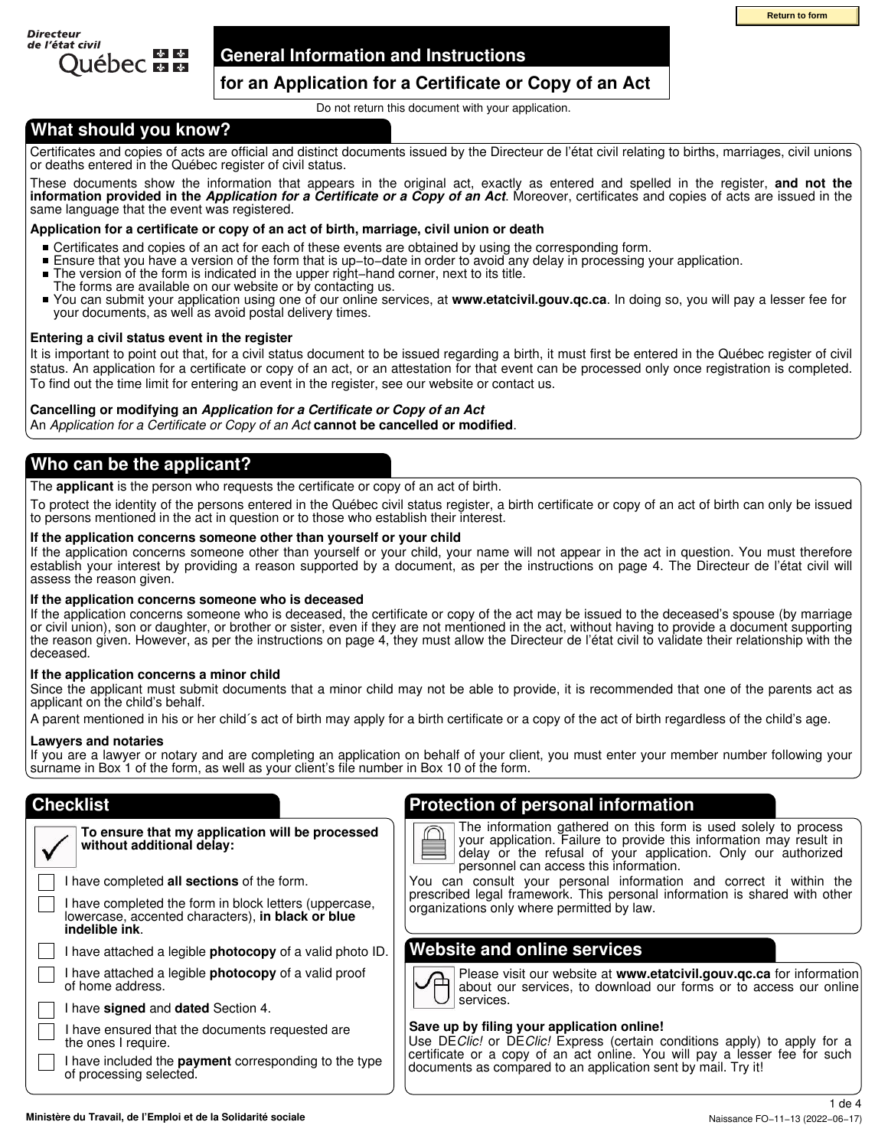

### **General Information and Instructions**

### **for an Application for a Certificate or Copy of an Act**

Do not return this document with your application.

### **What should you know?**

Certificates and copies of acts are official and distinct documents issued by the Directeur de l'état civil relating to births, marriages, civil unions or deaths entered in the Québec register of civil status.

These documents show the information that appears in the original act, exactly as entered and spelled in the register, **and not the information provided in the** *Application for a Certificate or a Copy of an Act*. Moreover, certificates and copies of acts are issued in the same language that the event was registered.

### **Application for a certificate or copy of an act of birth, marriage, civil union or death**

- Certificates and copies of an act for each of these events are obtained by using the corresponding form.
- $\blacksquare$ Ensure that you have a version of the form that is up−to−date in order to avoid any delay in processing your application.
- $\blacksquare$ The version of the form is indicated in the upper right−hand corner, next to its title.
- The forms are available on our website or by contacting us.
- You can submit your application using one of our online services, at **www.etatcivil.gouv.qc.ca**. In doing so, you will pay a lesser fee for your documents, as well as avoid postal delivery times.

### **Entering a civil status event in the register**

It is important to point out that, for a civil status document to be issued regarding a birth, it must first be entered in the Québec register of civil status. An application for a certificate or copy of an act, or an attestation for that event can be processed only once registration is completed. To find out the time limit for entering an event in the register, see our website or contact us.

### **Cancelling or modifying an** *Application for a Certificate or Copy of an Act*

An *Application for a Certificate or Copy of an Act* **cannot be cancelled or modified**.

### **Who can be the applicant?**

The **applicant** is the person who requests the certificate or copy of an act of birth.

To protect the identity of the persons entered in the Québec civil status register, a birth certificate or copy of an act of birth can only be issued to persons mentioned in the act in question or to those who establish their interest.

### **If the application concerns someone other than yourself or your child**

If the application concerns someone other than yourself or your child, your name will not appear in the act in question. You must therefore establish your interest by providing a reason supported by a document, as per the instructions on page 4. The Directeur de l'état civil will assess the reason given.

### **If the application concerns someone who is deceased**

If the application concerns someone who is deceased, the certificate or copy of the act may be issued to the deceased's spouse (by marriage or civil union), son or daughter, or brother or sister, even if they are not mentioned in the act, without having to provide a document supporting the reason given. However, as per the instructions on page 4, they must allow the Directeur de l'état civil to validate their relationship with the deceased.

### **If the application concerns a minor child**

Since the applicant must submit documents that a minor child may not be able to provide, it is recommended that one of the parents act as applicant on the child's behalf.

A parent mentioned in his or her child´s act of birth may apply for a birth certificate or a copy of the act of birth regardless of the child's age.

### **Lawyers and notaries**

If you are a lawyer or notary and are completing an application on behalf of your client, you must enter your member number following your surname in Box 1 of the form, as well as your client's file number in Box 10 of the form.

### **Checklist**

| To ensure that my application will be processed<br>without additional delay:                                                  |
|-------------------------------------------------------------------------------------------------------------------------------|
| I have completed all sections of the form.                                                                                    |
| I have completed the form in block letters (uppercase,<br>lowercase, accented characters), in black or blue<br>indelible ink. |
| I have attached a legible <b>photocopy</b> of a valid photo ID.                                                               |
| I have attached a legible <b>photocopy</b> of a valid proof<br>of home address.                                               |
|                                                                                                                               |

I have **signed** and **dated** Section 4.

| I have ensured that the documents requested are |
|-------------------------------------------------|
| the ones I require.                             |

I have included the **payment** corresponding to the type of processing selected.

### **Protection of personal information**

The information gathered on this form is used solely to process your application. Failure to provide this information may result in delay or the refusal of your application. Only our authorized personnel can access this information.

You can consult your personal information and correct it within the prescribed legal framework. This personal information is shared with other organizations only where permitted by law.

### **Website and online services**

Please visit our website at **www.etatcivil.gouv.qc.ca** for information about our services, to download our forms or to access our online services.

### **Save up by filing your application online!**

Use DE*Clic!* or DE*Clic!* Express (certain conditions apply) to apply for a certificate or a copy of an act online. You will pay a lesser fee for such documents as compared to an application sent by mail. Try it!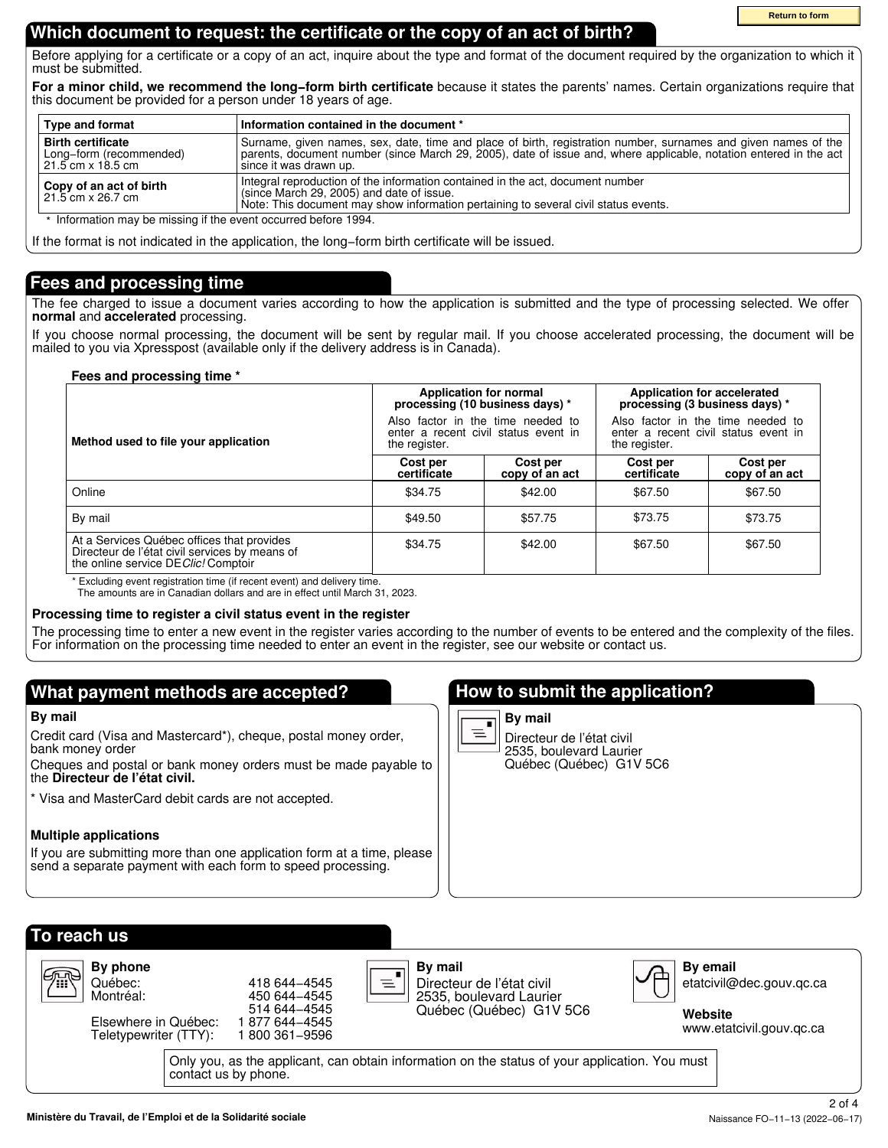**Return to form**

### **Which document to request: the certificate or the copy of an act of birth?**

Before applying for a certificate or a copy of an act, inquire about the type and format of the document required by the organization to which it must be submitted.

**For a minor child, we recommend the long−form birth certificate** because it states the parents' names. Certain organizations require that this document be provided for a person under 18 years of age.

| <b>Type and format</b>                                                                                                                                                                                                                                             | Information contained in the document *                                                                                                                                                                                                                         |  |  |
|--------------------------------------------------------------------------------------------------------------------------------------------------------------------------------------------------------------------------------------------------------------------|-----------------------------------------------------------------------------------------------------------------------------------------------------------------------------------------------------------------------------------------------------------------|--|--|
| <b>Birth certificate</b><br>Long-form (recommended)<br>$21.5$ cm $\times$ 18.5 cm                                                                                                                                                                                  | Surname, given names, sex, date, time and place of birth, registration number, surnames and given names of the<br>parents, document number (since March 29, 2005), date of issue and, where applicable, notation entered in the act<br>i since it was drawn up. |  |  |
| Integral reproduction of the information contained in the act, document number<br>Copy of an act of birth<br>(since March 29, 2005) and date of issue.<br>21.5 cm x 26.7 cm<br>Note: This document may show information pertaining to several civil status events. |                                                                                                                                                                                                                                                                 |  |  |
| * Information may be missing if the event occurred before 1994.                                                                                                                                                                                                    |                                                                                                                                                                                                                                                                 |  |  |

If the format is not indicated in the application, the long−form birth certificate will be issued.

### **Fees and processing time**

The fee charged to issue a document varies according to how the application is submitted and the type of processing selected. We offer **normal** and **accelerated** processing.

If you choose normal processing, the document will be sent by regular mail. If you choose accelerated processing, the document will be mailed to you via Xpresspost (available only if the delivery address is in Canada).

### **Fees and processing time \***

|                                                                                                                                      | Application for normal<br>processing (10 business days) *                                  |                            | Application for accelerated<br>processing (3 business days) *                              |                            |  |
|--------------------------------------------------------------------------------------------------------------------------------------|--------------------------------------------------------------------------------------------|----------------------------|--------------------------------------------------------------------------------------------|----------------------------|--|
| Method used to file your application                                                                                                 | Also factor in the time needed to<br>enter a recent civil status event in<br>the register. |                            | Also factor in the time needed to<br>enter a recent civil status event in<br>the register. |                            |  |
|                                                                                                                                      | Cost per<br>certificate                                                                    | Cost per<br>copy of an act | Cost per<br>certificate                                                                    | Cost per<br>copy of an act |  |
| Online                                                                                                                               | \$34.75                                                                                    | \$42.00                    | \$67.50                                                                                    | \$67.50                    |  |
| By mail                                                                                                                              | \$49.50                                                                                    | \$57.75                    | \$73.75                                                                                    | \$73.75                    |  |
| At a Services Québec offices that provides<br>Directeur de l'état civil services by means of<br>the online service DE Clic! Comptoir | \$34.75                                                                                    | \$42.00                    | \$67.50                                                                                    | \$67.50                    |  |

\* Excluding event registration time (if recent event) and delivery time.

The amounts are in Canadian dollars and are in effect until March 31, 2023.

### **Processing time to register a civil status event in the register**

The processing time to enter a new event in the register varies according to the number of events to be entered and the complexity of the files. For information on the processing time needed to enter an event in the register, see our website or contact us.

### **What payment methods are accepted?**

### **By mail**

Credit card (Visa and Mastercard\*), cheque, postal money order, bank money order

Cheques and postal or bank money orders must be made payable to the **Directeur de l'état civil.**

Visa and MasterCard debit cards are not accepted.

### **Multiple applications**

If you are submitting more than one application form at a time, please send a separate payment with each form to speed processing.

### **How to submit the application?**



Directeur de l'état civil 2535, boulevard Laurier Québec (Québec) G1V 5C6

| To reach us<br>By phone<br><b>G™</b><br>Québec:<br>Montréal:<br>Elsewhere in Québec:<br>Teletypewriter (TTY): | 418 644 - 4545<br>450 644 - 4545<br>514 644 - 4545<br>877 644–4545<br>800 361-9596 | By mail<br>$\equiv$ <sup>"</sup><br>Directeur de l'état civil<br>2535, boulevard Laurier<br>Québec (Québec) G1V 5C6 | <b>By email</b><br>etatcivil@dec.gouv.gc.ca<br>Website<br>www.etatcivil.gouv.gc.ca |
|---------------------------------------------------------------------------------------------------------------|------------------------------------------------------------------------------------|---------------------------------------------------------------------------------------------------------------------|------------------------------------------------------------------------------------|
|                                                                                                               | contact us by phone.                                                               | Only you, as the applicant, can obtain information on the status of your application. You must                      |                                                                                    |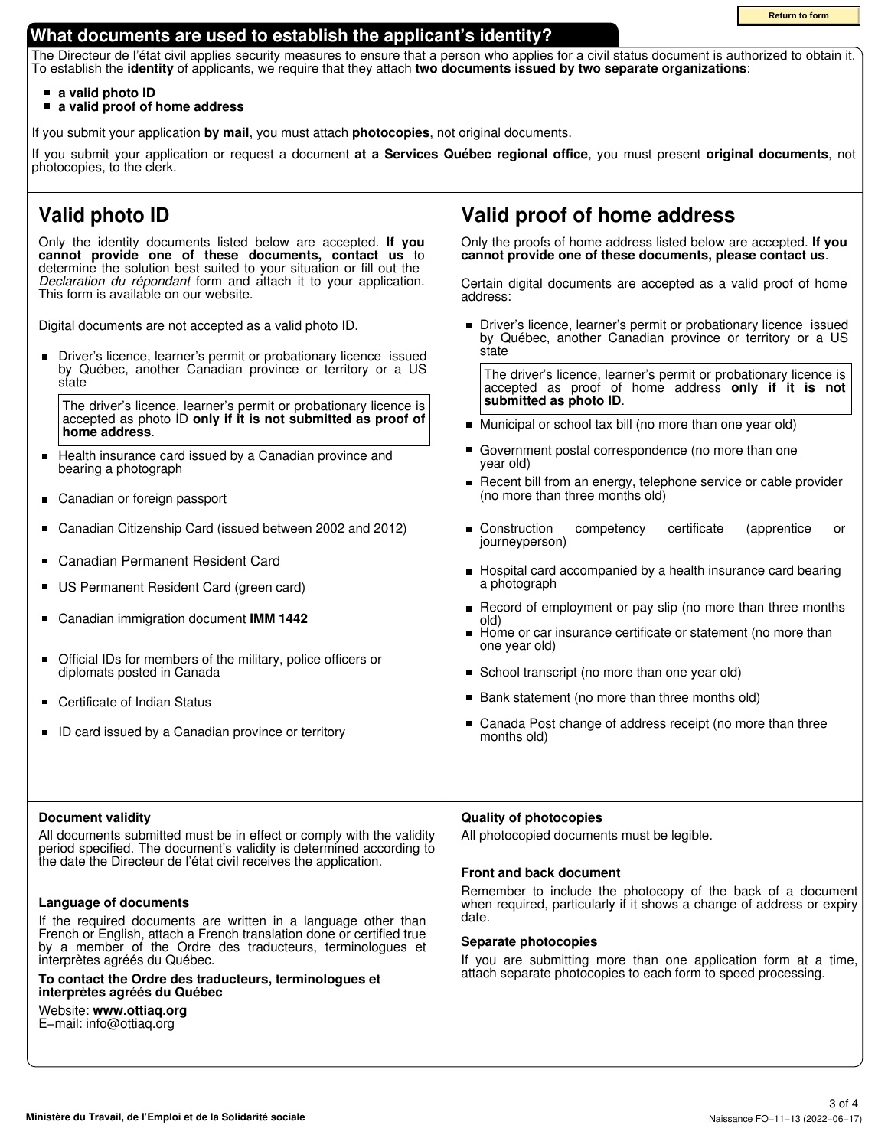### **What documents are used to establish the applicant's identity?**

The Directeur de l'état civil applies security measures to ensure that a person who applies for a civil status document is authorized to obtain it. To establish the **identity** of applicants, we require that they attach **two documents issued by two separate organizations**:

- **a valid photo ID**  $\blacksquare$
- **a valid proof of home address**

If you submit your application **by mail**, you must attach **photocopies**, not original documents.

If you submit your application or request a document **at a Services Québec regional office**, you must present **original documents**, not photocopies, to the clerk.

## **Valid photo ID**

Only the identity documents listed below are accepted. **If you cannot provide one of these documents, contact us** to determine the solution best suited to your situation or fill out the *Declaration du répondant* form and attach it to your application. This form is available on our website.

Digital documents are not accepted as a valid photo ID.

 $\blacksquare$ Driver's licence, learner's permit or probationary licence issued by Québec, another Canadian province or territory or a US state

The driver's licence, learner's permit or probationary licence is accepted as photo ID **only if it is not submitted as proof of home address**.

- $\blacksquare$ Health insurance card issued by a Canadian province and bearing a photograph
- $\blacksquare$ Canadian or foreign passport
- Canadian Citizenship Card (issued between 2002 and 2012)  $\blacksquare$
- Canadian Permanent Resident Card  $\blacksquare$
- $\blacksquare$ US Permanent Resident Card (green card)
- $\blacksquare$ Canadian immigration document **IMM 1442**
- $\blacksquare$ Official IDs for members of the military, police officers or diplomats posted in Canada
- Certificate of Indian Status  $\blacksquare$
- ID card issued by a Canadian province or territory  $\blacksquare$

### **Document validity**

All documents submitted must be in effect or comply with the validity period specified. The document's validity is determined according to the date the Directeur de l'état civil receives the application.

### **Language of documents**

If the required documents are written in a language other than French or English, attach a French translation done or certified true by a member of the Ordre des traducteurs, terminologues et interprètes agréés du Québec.

**To contact the Ordre des traducteurs, terminologues et interprètes agréés du Québec**

Website: **www.ottiaq.org** E−mail: info@ottiaq.org

### **Valid proof of home address**

Only the proofs of home address listed below are accepted. **If you cannot provide one of these documents, please contact us**.

Certain digital documents are accepted as a valid proof of home address:

Driver's licence, learner's permit or probationary licence issued by Québec, another Canadian province or territory or a US state

The driver's licence, learner's permit or probationary licence is accepted as proof of home address **only if it is not submitted as photo ID**.

- **Municipal or school tax bill (no more than one year old)**
- Government postal correspondence (no more than one year old)
- Recent bill from an energy, telephone service or cable provider (no more than three months old)
- **Construction** competency certificate (apprentice or journeyperson)
- Hospital card accompanied by a health insurance card bearing a photograph
- $\blacksquare$ Record of employment or pay slip (no more than three months old)
- Home or car insurance certificate or statement (no more than one year old)
- School transcript (no more than one year old)
- Bank statement (no more than three months old)
- Canada Post change of address receipt (no more than three months old)

### **Quality of photocopies**

All photocopied documents must be legible.

### **Front and back document**

Remember to include the photocopy of the back of a document when required, particularly if it shows a change of address or expiry date.

#### **Separate photocopies**

If you are submitting more than one application form at a time, attach separate photocopies to each form to speed processing.